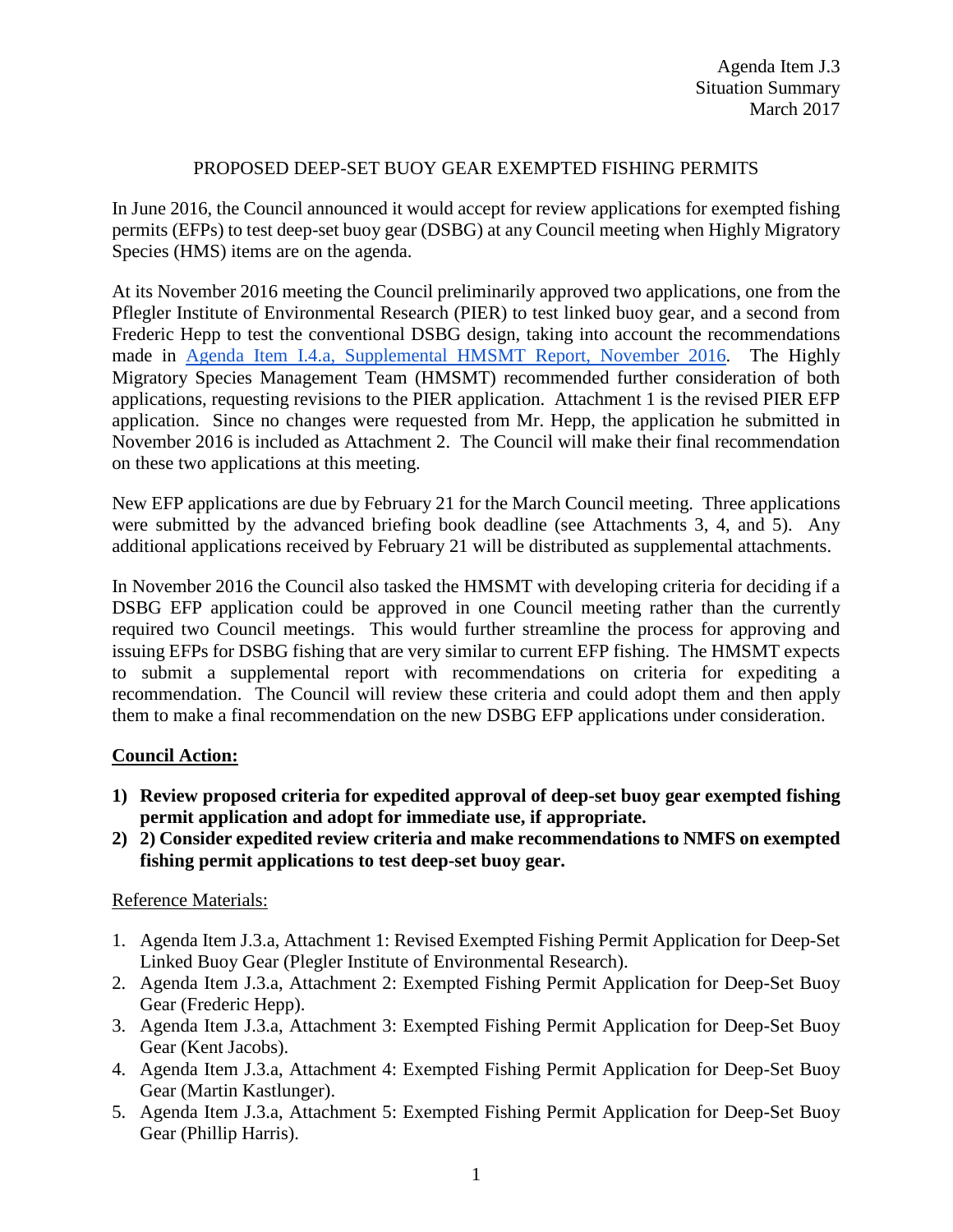## PROPOSED DEEP-SET BUOY GEAR EXEMPTED FISHING PERMITS

In June 2016, the Council announced it would accept for review applications for exempted fishing permits (EFPs) to test deep-set buoy gear (DSBG) at any Council meeting when Highly Migratory Species (HMS) items are on the agenda.

At its November 2016 meeting the Council preliminarily approved two applications, one from the Pflegler Institute of Environmental Research (PIER) to test linked buoy gear, and a second from Frederic Hepp to test the conventional DSBG design, taking into account the recommendations made in [Agenda Item I.4.a, Supplemental HMSMT Report,](http://www.pcouncil.org/wp-content/uploads/2016/11/I4a_Sup_HMSMT_Rpt2_DSBG_EFPs_NOV2016BB.pdf) November 2016. The Highly Migratory Species Management Team (HMSMT) recommended further consideration of both applications, requesting revisions to the PIER application. Attachment 1 is the revised PIER EFP application. Since no changes were requested from Mr. Hepp, the application he submitted in November 2016 is included as Attachment 2. The Council will make their final recommendation on these two applications at this meeting.

New EFP applications are due by February 21 for the March Council meeting. Three applications were submitted by the advanced briefing book deadline (see Attachments 3, 4, and 5). Any additional applications received by February 21 will be distributed as supplemental attachments.

In November 2016 the Council also tasked the HMSMT with developing criteria for deciding if a DSBG EFP application could be approved in one Council meeting rather than the currently required two Council meetings. This would further streamline the process for approving and issuing EFPs for DSBG fishing that are very similar to current EFP fishing. The HMSMT expects to submit a supplemental report with recommendations on criteria for expediting a recommendation. The Council will review these criteria and could adopt them and then apply them to make a final recommendation on the new DSBG EFP applications under consideration.

## **Council Action:**

- **1) Review proposed criteria for expedited approval of deep-set buoy gear exempted fishing permit application and adopt for immediate use, if appropriate.**
- **2) 2) Consider expedited review criteria and make recommendations to NMFS on exempted fishing permit applications to test deep-set buoy gear.**

## Reference Materials:

- 1. Agenda Item J.3.a, Attachment 1: Revised Exempted Fishing Permit Application for Deep-Set Linked Buoy Gear (Plegler Institute of Environmental Research).
- 2. Agenda Item J.3.a, Attachment 2: Exempted Fishing Permit Application for Deep-Set Buoy Gear (Frederic Hepp).
- 3. Agenda Item J.3.a, Attachment 3: Exempted Fishing Permit Application for Deep-Set Buoy Gear (Kent Jacobs).
- 4. Agenda Item J.3.a, Attachment 4: Exempted Fishing Permit Application for Deep-Set Buoy Gear (Martin Kastlunger).
- 5. Agenda Item J.3.a, Attachment 5: Exempted Fishing Permit Application for Deep-Set Buoy Gear (Phillip Harris).